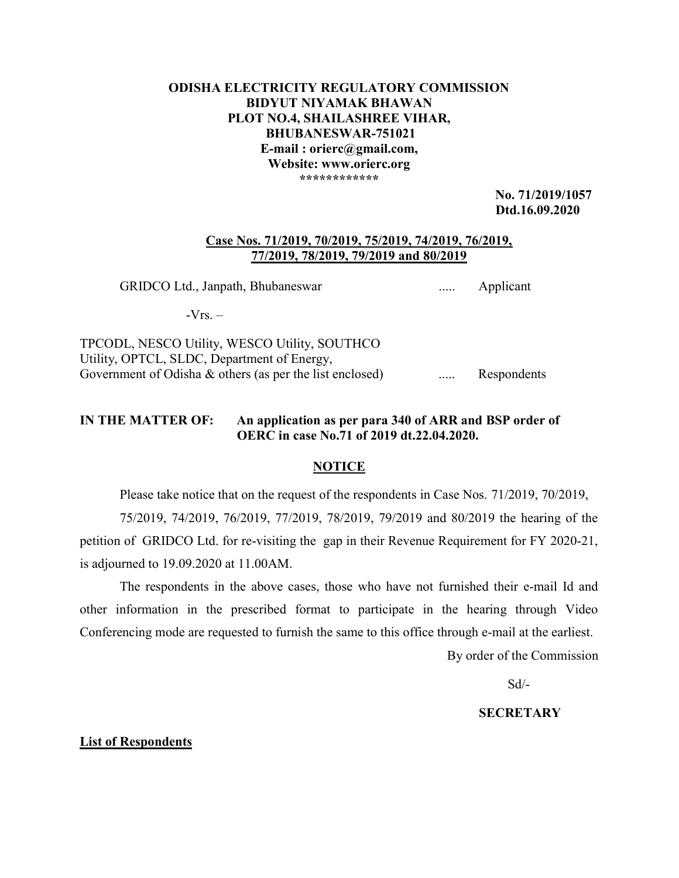# ODISHA ELECTRICITY REGULATORY COMMISSION BIDYUT NIYAMAK BHAWAN PLOT NO.4, SHAILASHREE VIHAR, BHUBANESWAR-751021 E-mail : orierc@gmail.com, Website: www.orierc.org \*\*\*\*\*\*\*\*\*\*\*\*

 No. 71/2019/1057 Dtd.16.09.2020

#### Case Nos. 71/2019, 70/2019, 75/2019, 74/2019, 76/2019, 77/2019, 78/2019, 79/2019 and 80/2019

GRIDCO Ltd., Janpath, Bhubaneswar ..... Applicant

 $-Vrs. -$ 

TPCODL, NESCO Utility, WESCO Utility, SOUTHCO Utility, OPTCL, SLDC, Department of Energy, Government of Odisha & others (as per the list enclosed) ...... Respondents

# IN THE MATTER OF: An application as per para 340 of ARR and BSP order of OERC in case No.71 of 2019 dt.22.04.2020.

## **NOTICE**

Please take notice that on the request of the respondents in Case Nos. 71/2019, 70/2019,

75/2019, 74/2019, 76/2019, 77/2019, 78/2019, 79/2019 and 80/2019 the hearing of the petition of GRIDCO Ltd. for re-visiting the gap in their Revenue Requirement for FY 2020-21, is adjourned to 19.09.2020 at 11.00AM.

The respondents in the above cases, those who have not furnished their e-mail Id and other information in the prescribed format to participate in the hearing through Video Conferencing mode are requested to furnish the same to this office through e-mail at the earliest.

By order of the Commission

Sd/-

# **SECRETARY**

### List of Respondents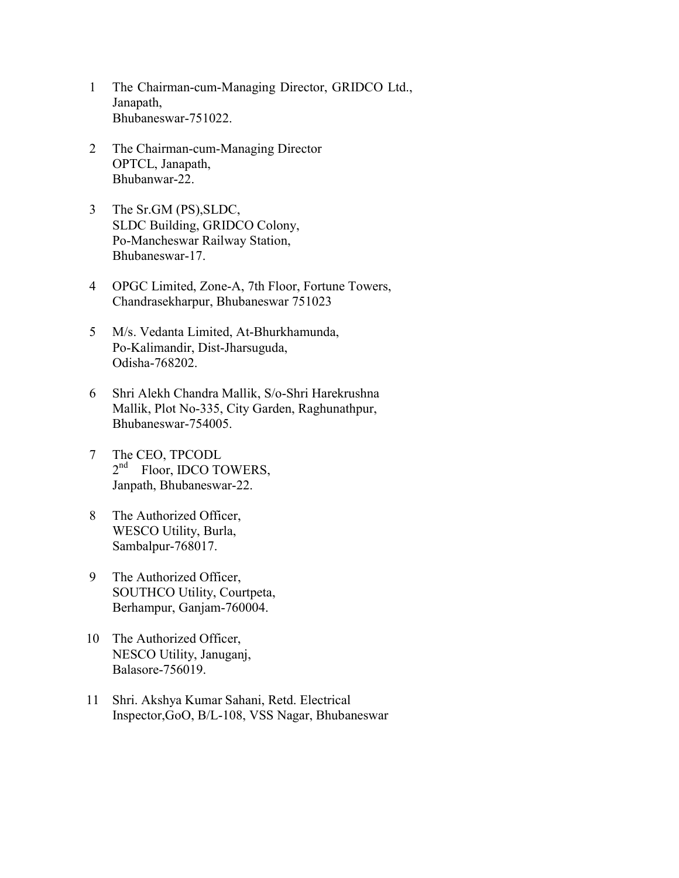- 1 The Chairman-cum-Managing Director, GRIDCO Ltd., Janapath, Bhubaneswar-751022.
- 2 The Chairman-cum-Managing Director OPTCL, Janapath, Bhubanwar-22.
- 3 The Sr.GM (PS),SLDC, SLDC Building, GRIDCO Colony, Po-Mancheswar Railway Station, Bhubaneswar-17.
- 4 OPGC Limited, Zone-A, 7th Floor, Fortune Towers, Chandrasekharpur, Bhubaneswar 751023
- 5 M/s. Vedanta Limited, At-Bhurkhamunda, Po-Kalimandir, Dist-Jharsuguda, Odisha-768202.
- 6 Shri Alekh Chandra Mallik, S/o-Shri Harekrushna Mallik, Plot No-335, City Garden, Raghunathpur, Bhubaneswar-754005.
- 7 The CEO, TPCODL 2<sup>nd</sup> Floor, IDCO TOWERS, Janpath, Bhubaneswar-22.
- 8 The Authorized Officer, WESCO Utility, Burla, Sambalpur-768017.
- 9 The Authorized Officer, SOUTHCO Utility, Courtpeta, Berhampur, Ganjam-760004.
- 10 The Authorized Officer, NESCO Utility, Januganj, Balasore-756019.
- 11 Shri. Akshya Kumar Sahani, Retd. Electrical Inspector,GoO, B/L-108, VSS Nagar, Bhubaneswar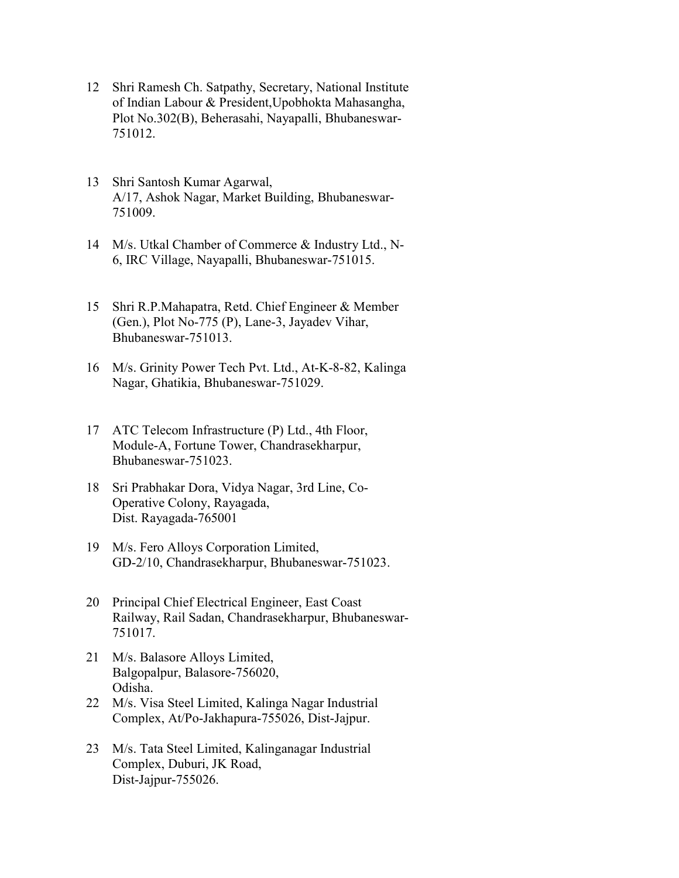- 12 Shri Ramesh Ch. Satpathy, Secretary, National Institute of Indian Labour & President,Upobhokta Mahasangha, Plot No.302(B), Beherasahi, Nayapalli, Bhubaneswar-751012.
- 13 Shri Santosh Kumar Agarwal, A/17, Ashok Nagar, Market Building, Bhubaneswar-751009.
- 14 M/s. Utkal Chamber of Commerce & Industry Ltd., N-6, IRC Village, Nayapalli, Bhubaneswar-751015.
- 15 Shri R.P.Mahapatra, Retd. Chief Engineer & Member (Gen.), Plot No-775 (P), Lane-3, Jayadev Vihar, Bhubaneswar-751013.
- 16 M/s. Grinity Power Tech Pvt. Ltd., At-K-8-82, Kalinga Nagar, Ghatikia, Bhubaneswar-751029.
- 17 ATC Telecom Infrastructure (P) Ltd., 4th Floor, Module-A, Fortune Tower, Chandrasekharpur, Bhubaneswar-751023.
- 18 Sri Prabhakar Dora, Vidya Nagar, 3rd Line, Co-Operative Colony, Rayagada, Dist. Rayagada-765001
- 19 M/s. Fero Alloys Corporation Limited, GD-2/10, Chandrasekharpur, Bhubaneswar-751023.
- 20 Principal Chief Electrical Engineer, East Coast Railway, Rail Sadan, Chandrasekharpur, Bhubaneswar-751017.
- 21 M/s. Balasore Alloys Limited, Balgopalpur, Balasore-756020, Odisha.
- 22 M/s. Visa Steel Limited, Kalinga Nagar Industrial Complex, At/Po-Jakhapura-755026, Dist-Jajpur.
- 23 M/s. Tata Steel Limited, Kalinganagar Industrial Complex, Duburi, JK Road, Dist-Jajpur-755026.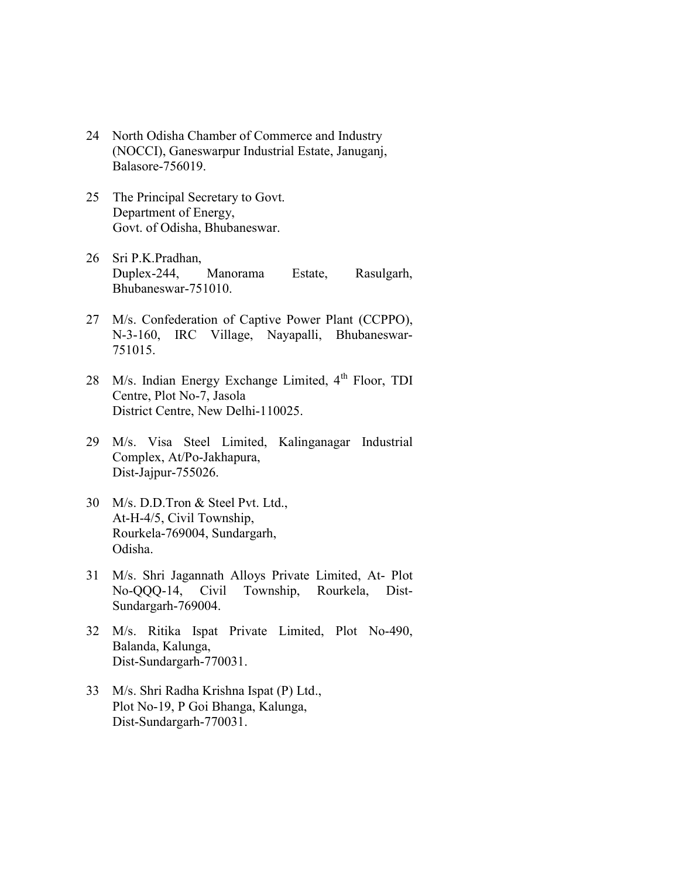- 24 North Odisha Chamber of Commerce and Industry (NOCCI), Ganeswarpur Industrial Estate, Januganj, Balasore-756019.
- 25 The Principal Secretary to Govt. Department of Energy, Govt. of Odisha, Bhubaneswar.
- 26 Sri P.K.Pradhan, Duplex-244, Manorama Estate, Rasulgarh, Bhubaneswar-751010.
- 27 M/s. Confederation of Captive Power Plant (CCPPO), N-3-160, IRC Village, Nayapalli, Bhubaneswar-751015.
- 28 M/s. Indian Energy Exchange Limited, 4<sup>th</sup> Floor, TDI Centre, Plot No-7, Jasola District Centre, New Delhi-110025.
- 29 M/s. Visa Steel Limited, Kalinganagar Industrial Complex, At/Po-Jakhapura, Dist-Jajpur-755026.
- 30 M/s. D.D.Tron & Steel Pvt. Ltd., At-H-4/5, Civil Township, Rourkela-769004, Sundargarh, Odisha.
- 31 M/s. Shri Jagannath Alloys Private Limited, At- Plot No-QQQ-14, Civil Township, Rourkela, Dist-Sundargarh-769004.
- 32 M/s. Ritika Ispat Private Limited, Plot No-490, Balanda, Kalunga, Dist-Sundargarh-770031.
- 33 M/s. Shri Radha Krishna Ispat (P) Ltd., Plot No-19, P Goi Bhanga, Kalunga, Dist-Sundargarh-770031.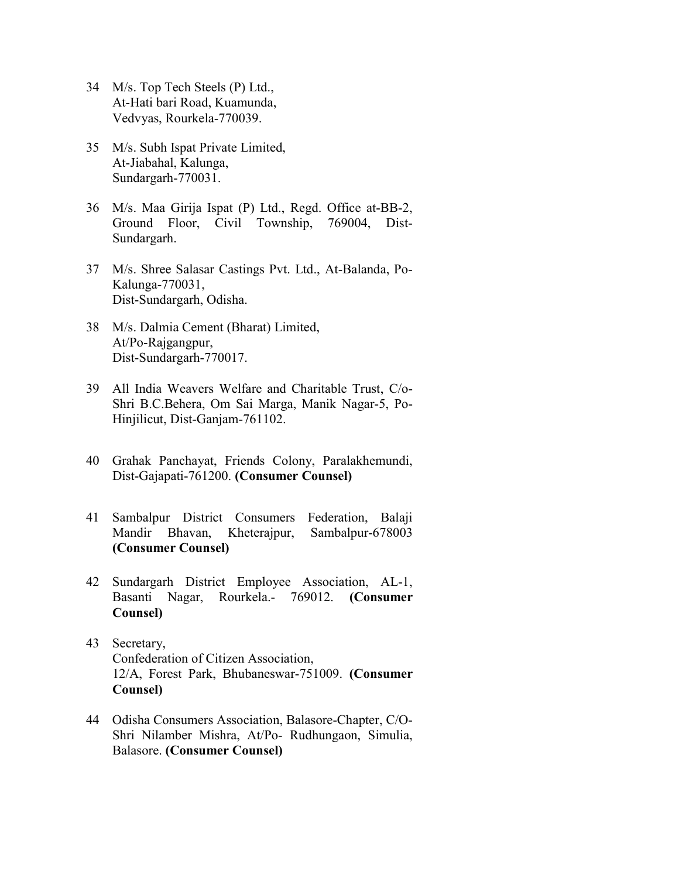- 34 M/s. Top Tech Steels (P) Ltd., At-Hati bari Road, Kuamunda, Vedvyas, Rourkela-770039.
- 35 M/s. Subh Ispat Private Limited, At-Jiabahal, Kalunga, Sundargarh-770031.
- 36 M/s. Maa Girija Ispat (P) Ltd., Regd. Office at-BB-2, Ground Floor, Civil Township, 769004, Dist-Sundargarh.
- 37 M/s. Shree Salasar Castings Pvt. Ltd., At-Balanda, Po-Kalunga-770031, Dist-Sundargarh, Odisha.
- 38 M/s. Dalmia Cement (Bharat) Limited, At/Po-Rajgangpur, Dist-Sundargarh-770017.
- 39 All India Weavers Welfare and Charitable Trust, C/o-Shri B.C.Behera, Om Sai Marga, Manik Nagar-5, Po-Hinjilicut, Dist-Ganjam-761102.
- 40 Grahak Panchayat, Friends Colony, Paralakhemundi, Dist-Gajapati-761200. (Consumer Counsel)
- 41 Sambalpur District Consumers Federation, Balaji Mandir Bhavan, Kheterajpur, Sambalpur-678003 (Consumer Counsel)
- 42 Sundargarh District Employee Association, AL-1, Basanti Nagar, Rourkela.- 769012. (Consumer Counsel)
- 43 Secretary, Confederation of Citizen Association, 12/A, Forest Park, Bhubaneswar-751009. (Consumer Counsel)
- 44 Odisha Consumers Association, Balasore-Chapter, C/O-Shri Nilamber Mishra, At/Po- Rudhungaon, Simulia, Balasore. (Consumer Counsel)